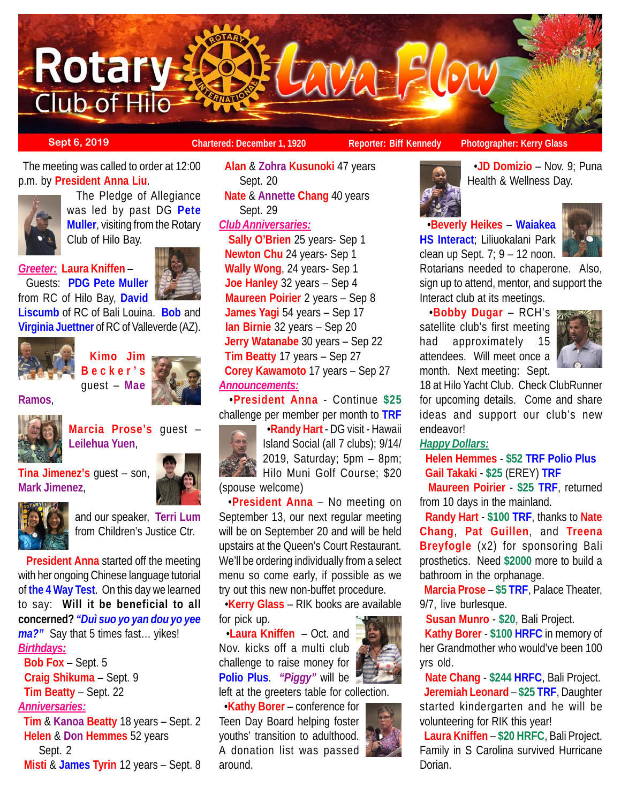

**Sept 6, 2019 Chartered: December 1, 1920 Reporter: Biff Kennedy** Photographer: Kerry Glass

 The meeting was called to order at 12:00 p.m. by **President Anna Liu**.



 The Pledge of Allegiance was led by past DG **Pete Muller**, visiting from the Rotary Club of Hilo Bay.

## *Greeter:* **Laura Kniffen** – Guests: **PDG Pete Muller** from RC of Hilo Bay, **David**



**Liscumb** of RC of Bali Louina. **Bob** and **Virginia Juettner** of RC of Valleverde (AZ).



**Kimo Jim Becker's** guest – **Mae**







**Marcia Prose's** guest – **Leilehua Yuen**,

**Tina Jimenez's** guest – son, **Mark Jimenez**,



and our speaker, **Terri Lum** from Children's Justice Ctr.

 **President Anna** started off the meeting with her ongoing Chinese language tutorial of **the 4 Way Test**. On this day we learned to say: **Will it be beneficial to all concerned?** *"Duì suo yo yan dou yo yee ma?"* Say that 5 times fast… yikes! *Birthdays:*

 **Bob Fox** – Sept. 5 **Craig Shikuma** – Sept. 9 **Tim Beatty** – Sept. 22

# *Anniversaries:*

 **Tim** & **Kanoa Beatty** 18 years – Sept. 2 **Helen** & **Don Hemmes** 52 years Sept. 2 **Misti** & **James Tyrin** 12 years – Sept. 8

 **Alan** & **Zohra Kusunoki** 47 years Sept. 20 **Nate** & **Annette Chang** 40 years Sept. 29 *Club Anniversaries:*

 **Sally O'Brien** 25 years- Sep 1 **Newton Chu** 24 years- Sep 1 **Wally Wong**, 24 years- Sep 1 **Joe Hanley** 32 years – Sep 4  **Maureen Poirier** 2 years – Sep 8 **James Yagi** 54 years – Sep 17 **Ian Birnie** 32 years – Sep 20 **Jerry Watanabe** 30 years – Sep 22 **Tim Beatty** 17 years – Sep 27 **Corey Kawamoto** 17 years – Sep 27 *Announcements:*

 •**President Anna** - Continue **\$25** challenge per member per month to **TRF**

 •**Randy Hart** - DG visit - Hawaii Island Social (all 7 clubs); 9/14/ 2019, Saturday; 5pm – 8pm; Hilo Muni Golf Course; \$20 (spouse welcome)

 •**President Anna** – No meeting on September 13, our next regular meeting will be on September 20 and will be held upstairs at the Queen's Court Restaurant. We'll be ordering individually from a select menu so come early, if possible as we try out this new non-buffet procedure.

 •**Kerry Glass** – RIK books are available for pick up.

 •**Laura Kniffen** – Oct. and Nov. kicks off a multi club challenge to raise money for **Polio Plus**. *"Piggy"* will be

left at the greeters table for collection.

 •**Kathy Borer** – conference for Teen Day Board helping foster youths' transition to adulthood. A donation list was passed around.



 •**JD Domizio** – Nov. 9; Puna Health & Wellness Day.

 •**Beverly Heikes** – **Waiakea HS Interact**; Liliuokalani Park clean up Sept.  $7; 9 - 12$  noon.



Rotarians needed to chaperone. Also, sign up to attend, mentor, and support the Interact club at its meetings.

 •**Bobby Dugar** – RCH's satellite club's first meeting had approximately 15 attendees. Will meet once a month. Next meeting: Sept.



18 at Hilo Yacht Club. Check ClubRunner for upcoming details. Come and share ideas and support our club's new endeavor!

## *Happy Dollars:*

 **Helen Hemmes** - **\$52 TRF Polio Plus Gail Takaki** - **\$25** (EREY) **TRF**

 **Maureen Poirier** - **\$25 TRF**, returned from 10 days in the mainland.

 **Randy Hart** - **\$100 TRF**, thanks to **Nate Chang**, **Pat Guillen**, and **Treena Breyfogle** (x2) for sponsoring Bali prosthetics. Need **\$2000** more to build a bathroom in the orphanage.

 **Marcia Prose** – **\$5 TRF**, Palace Theater, 9/7, live burlesque.

**Susan Munro** - **\$20**, Bali Project.

 **Kathy Borer** - **\$100 HRFC** in memory of her Grandmother who would've been 100 yrs old.

 **Nate Chang** - **\$244 HRFC**, Bali Project. **Jeremiah Leonard** – **\$25 TRF**, Daughter started kindergarten and he will be volunteering for RIK this year!

 **Laura Kniffen** – **\$20 HRFC**, Bali Project. Family in S Carolina survived Hurricane Dorian.